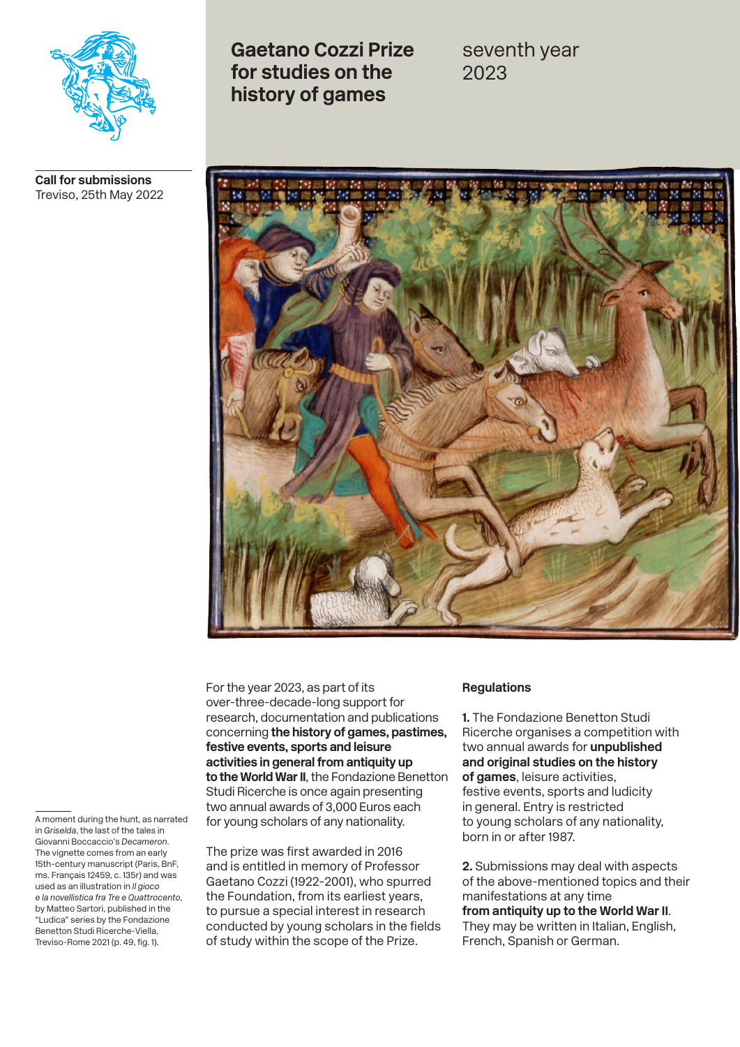

**Call for submissions**  Treviso, 25th May 2022

**Gaetano Cozzi Prize for studies on the history of games**

seventh year 2023



For the year 2023, as part of its over-three-decade-long support for research, documentation and publications concerning **the history of games, pastimes, festive events, sports and leisure activities in general from antiquity up to the World War II**, the Fondazione Benetton Studi Ricerche is once again presenting two annual awards of 3,000 Euros each for young scholars of any nationality.

The prize was first awarded in 2016 and is entitled in memory of Professor Gaetano Cozzi (1922-2001), who spurred the Foundation, from its earliest years, to pursue a special interest in research conducted by young scholars in the fields of study within the scope of the Prize.

## **Regulations**

**1.** The Fondazione Benetton Studi Ricerche organises a competition with two annual awards for **unpublished and original studies on the history of games**, leisure activities, festive events, sports and ludicity in general. Entry is restricted to young scholars of any nationality, born in or after 1987.

**2.** Submissions may deal with aspects of the above-mentioned topics and their manifestations at any time **from antiquity up to the World War II**. They may be written in Italian, English, French, Spanish or German.

A moment during the hunt, as narrated in *Griselda*, the last of the tales in Giovanni Boccaccio's *Decameron*. The vignette comes from an early 15th-century manuscript (Paris, BnF, ms. Français 12459, c. 135r) and was used as an illustration in *Il gioco e la novellistica fra Tre e Quattrocento*, by Matteo Sartori, published in the "Ludica" series by the Fondazione Benetton Studi Ricerche-Viella, Treviso-Rome 2021 (p. 49, fig. 1).